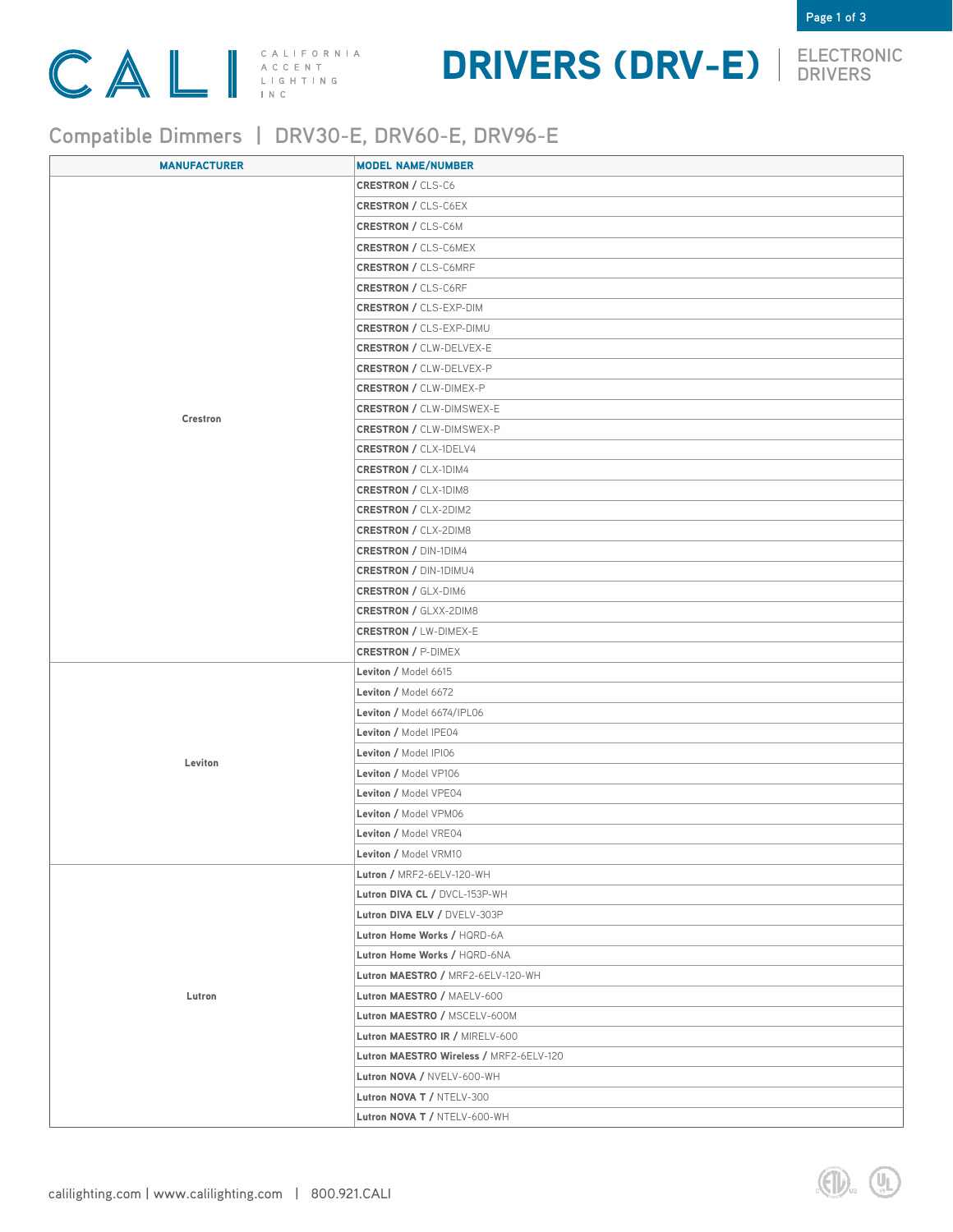

### DRIVERS (DRV-E) **ELECTRONIC DRIVERS**



**Page 1 of 3**

### **Compatible Dimmers | DRV30-E, DRV60-E, DRV96-E**

| <b>MANUFACTURER</b> | <b>MODEL NAME/NUMBER</b>                |
|---------------------|-----------------------------------------|
| Crestron            | <b>CRESTRON / CLS-C6</b>                |
|                     | <b>CRESTRON / CLS-C6EX</b>              |
|                     | <b>CRESTRON / CLS-C6M</b>               |
|                     | <b>CRESTRON / CLS-C6MEX</b>             |
|                     | <b>CRESTRON / CLS-C6MRF</b>             |
|                     | <b>CRESTRON / CLS-C6RF</b>              |
|                     | <b>CRESTRON / CLS-EXP-DIM</b>           |
|                     | <b>CRESTRON / CLS-EXP-DIMU</b>          |
|                     | <b>CRESTRON / CLW-DELVEX-E</b>          |
|                     | <b>CRESTRON / CLW-DELVEX-P</b>          |
|                     | <b>CRESTRON / CLW-DIMEX-P</b>           |
|                     | <b>CRESTRON / CLW-DIMSWEX-E</b>         |
|                     | <b>CRESTRON / CLW-DIMSWEX-P</b>         |
|                     | <b>CRESTRON / CLX-1DELV4</b>            |
|                     | <b>CRESTRON / CLX-1DIM4</b>             |
|                     | <b>CRESTRON / CLX-1DIM8</b>             |
|                     | <b>CRESTRON / CLX-2DIM2</b>             |
|                     | <b>CRESTRON / CLX-2DIM8</b>             |
|                     | <b>CRESTRON / DIN-1DIM4</b>             |
|                     | <b>CRESTRON / DIN-1DIMU4</b>            |
|                     | <b>CRESTRON / GLX-DIM6</b>              |
|                     | <b>CRESTRON / GLXX-2DIM8</b>            |
|                     | <b>CRESTRON / LW-DIMEX-E</b>            |
|                     | <b>CRESTRON / P-DIMEX</b>               |
| Leviton             | Leviton / Model 6615                    |
|                     | Leviton / Model 6672                    |
|                     | Leviton / Model 6674/IPL06              |
|                     | Leviton / Model IPE04                   |
|                     | Leviton / Model IPI06                   |
|                     | Leviton / Model VP106                   |
|                     | Leviton / Model VPE04                   |
|                     | Leviton / Model VPM06                   |
|                     | Leviton / Model VRE04                   |
|                     | <b>Leviton / Model VRM10</b>            |
|                     | Lutron / MRF2-6ELV-120-WH               |
|                     | Lutron DIVA CL / DVCL-153P-WH           |
|                     | Lutron DIVA ELV / DVELV-303P            |
|                     | Lutron Home Works / HQRD-6A             |
|                     | Lutron Home Works / HQRD-6NA            |
|                     | Lutron MAESTRO / MRF2-6ELV-120-WH       |
| Lutron              | Lutron MAESTRO / MAELV-600              |
|                     | Lutron MAESTRO / MSCELV-600M            |
|                     | Lutron MAESTRO IR / MIRELV-600          |
|                     | Lutron MAESTRO Wireless / MRF2-6ELV-120 |
|                     | Lutron NOVA / NVELV-600-WH              |
|                     | Lutron NOVA T / NTELV-300               |
|                     | Lutron NOVA T / NTELV-600-WH            |
|                     |                                         |

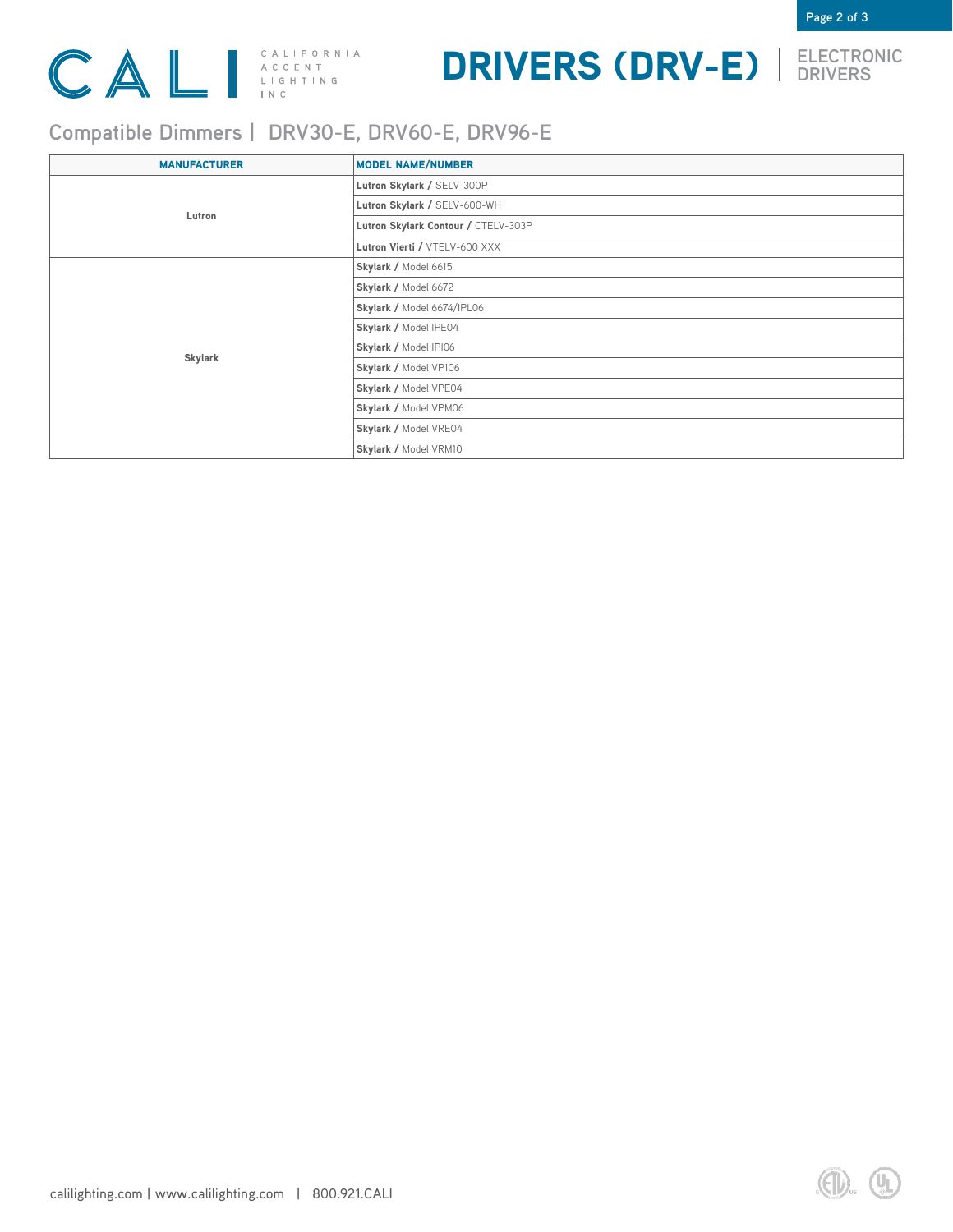

# DRIVERS (DRV-E) **ELECTRONIC DRIVERS**



**Page 2 of 3**

### **Compatible Dimmers | DRV30-E, DRV60-E, DRV96-E**

| <b>MANUFACTURER</b> | <b>MODEL NAME/NUMBER</b>            |
|---------------------|-------------------------------------|
| Lutron              | Lutron Skylark / SELV-300P          |
|                     | Lutron Skylark / SELV-600-WH        |
|                     | Lutron Skylark Contour / CTELV-303P |
|                     | Lutron Vierti / VTELV-600 XXX       |
| Skylark             | Skylark / Model 6615                |
|                     | Skylark / Model 6672                |
|                     | Skylark / Model 6674/IPL06          |
|                     | Skylark / Model IPE04               |
|                     | Skylark / Model IPI06               |
|                     | Skylark / Model VP106               |
|                     | Skylark / Model VPE04               |
|                     | Skylark / Model VPM06               |
|                     | Skylark / Model VRE04               |
|                     | Skylark / Model VRM10               |